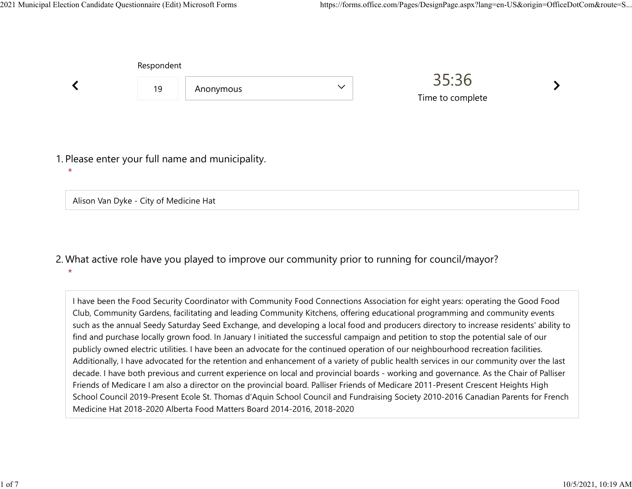|                                        | Respondent |                                                  |              |                  |  |
|----------------------------------------|------------|--------------------------------------------------|--------------|------------------|--|
|                                        | 19         | Anonymous                                        | $\checkmark$ | 35:36            |  |
|                                        |            |                                                  |              | Time to complete |  |
|                                        |            |                                                  |              |                  |  |
|                                        |            | 1. Please enter your full name and municipality. |              |                  |  |
| $\star$                                |            |                                                  |              |                  |  |
| Alison Van Dyke - City of Medicine Hat |            |                                                  |              |                  |  |

## What active role have you played to improve our community prior to running for council/mayor? 2.  $\star$

I have been the Food Security Coordinator with Community Food Connections Association for eight years: operating the Good Food Club, Community Gardens, facilitating and leading Community Kitchens, offering educational programming and community events such as the annual Seedy Saturday Seed Exchange, and developing a local food and producers directory to increase residents' ability to find and purchase locally grown food. In January I initiated the successful campaign and petition to stop the potential sale of our publicly owned electric utilities. I have been an advocate for the continued operation of our neighbourhood recreation facilities. Additionally, I have advocated for the retention and enhancement of a variety of public health services in our community over the last decade. I have both previous and current experience on local and provincial boards - working and governance. As the Chair of Palliser Friends of Medicare I am also a director on the provincial board. Palliser Friends of Medicare 2011-Present Crescent Heights High School Council 2019-Present Ecole St. Thomas d'Aquin School Council and Fundraising Society 2010-2016 Canadian Parents for French Medicine Hat 2018-2020 Alberta Food Matters Board 2014-2016, 2018-2020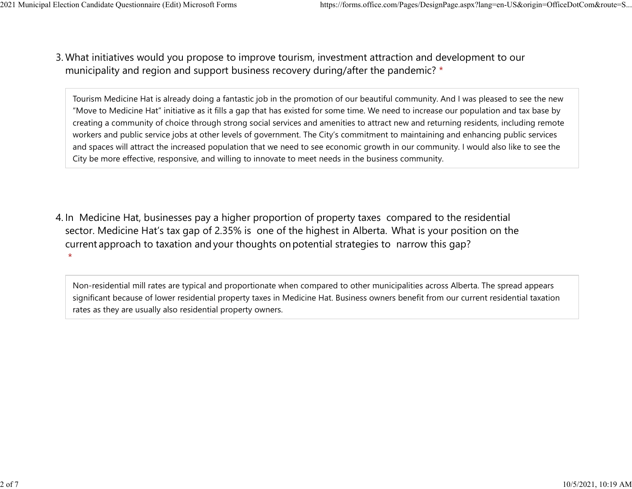What initiatives would you propose to improve tourism, investment attraction and development to our 3. municipality and region and support business recovery during/after the pandemic? \* 2021 Municipal Election Candidate Questionnaire (Edit) Microsoft Forms https://forms.office.com/Pages/DesignPage.aspx?lang=en-US&origin=OfficeDotCom&route=S...<br>2 Mhat initiatives would you propose to improve tourism invest

> Tourism Medicine Hat is already doing a fantastic job in the promotion of our beautiful community. And I was pleased to see the new "Move to Medicine Hat" initiative as it fills a gap that has existed for some time. We need to increase our population and tax base by creating a community of choice through strong social services and amenities to attract new and returning residents, including remote workers and public service jobs at other levels of government. The City's commitment to maintaining and enhancing public services and spaces will attract the increased population that we need to see economic growth in our community. I would also like to see the City be more effective, responsive, and willing to innovate to meet needs in the business community.

4. In Medicine Hat, businesses pay a higher proportion of property taxes compared to the residential sector.  Medicine Hat's tax gap of 2.35% is one of the highest in Alberta.  What is your position on the current approach to taxation and your thoughts on potential strategies to narrow this gap?  $\star$ 

Non-residential mill rates are typical and proportionate when compared to other municipalities across Alberta. The spread appears significant because of lower residential property taxes in Medicine Hat. Business owners benefit from our current residential taxation rates as they are usually also residential property owners.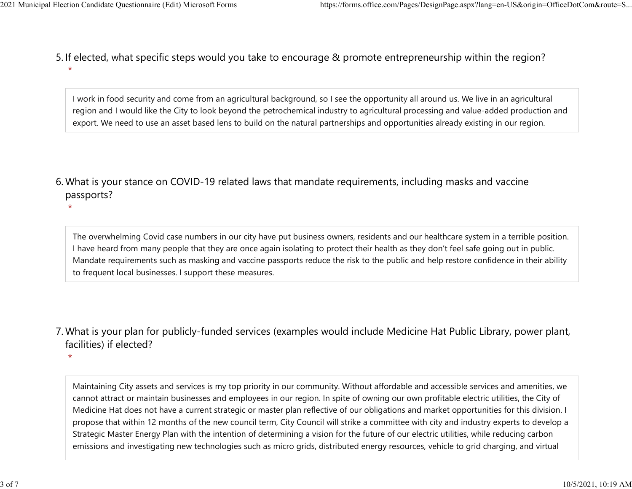$\star$ 

5. If elected, what specific steps would you take to encourage & promote entrepreneurship within the region?  $\star$ 2021 Municipal Election Candidate Questionnaire (Edit) Microsoft Forms https://forms.office.com/Pages/DesignPage.aspx?lang=en-US&origin=OfficeDotCom&route=S...<br>5. If elected what specific steps would you take to encourage

> I work in food security and come from an agricultural background, so I see the opportunity all around us. We live in an agricultural region and I would like the City to look beyond the petrochemical industry to agricultural processing and value-added production and export. We need to use an asset based lens to build on the natural partnerships and opportunities already existing in our region.

What is your stance on COVID-19 related laws that mandate requirements, including masks and vaccine 6. passports?

The overwhelming Covid case numbers in our city have put business owners, residents and our healthcare system in a terrible position. I have heard from many people that they are once again isolating to protect their health as they don't feel safe going out in public. Mandate requirements such as masking and vaccine passports reduce the risk to the public and help restore confidence in their ability to frequent local businesses. I support these measures.

What is your plan for publicly-funded services (examples would include Medicine Hat Public Library, power plant, 7. facilities) if elected?

 $\star$ 

Maintaining City assets and services is my top priority in our community. Without affordable and accessible services and amenities, we cannot attract or maintain businesses and employees in our region. In spite of owning our own profitable electric utilities, the City of Medicine Hat does not have a current strategic or master plan reflective of our obligations and market opportunities for this division. I propose that within 12 months of the new council term, City Council will strike a committee with city and industry experts to develop a Strategic Master Energy Plan with the intention of determining a vision for the future of our electric utilities, while reducing carbon emissions and investigating new technologies such as micro grids, distributed energy resources, vehicle to grid charging, and virtual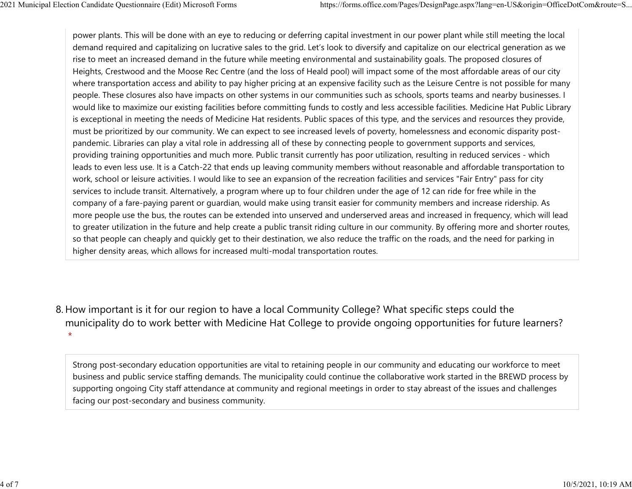power plants. This will be done with an eye to reducing or deferring capital investment in our power plant while still meeting the local demand required and capitalizing on lucrative sales to the grid. Let's look to diversify and capitalize on our electrical generation as we rise to meet an increased demand in the future while meeting environmental and sustainability goals. The proposed closures of Heights, Crestwood and the Moose Rec Centre (and the loss of Heald pool) will impact some of the most affordable areas of our city where transportation access and ability to pay higher pricing at an expensive facility such as the Leisure Centre is not possible for many people. These closures also have impacts on other systems in our communities such as schools, sports teams and nearby businesses. I would like to maximize our existing facilities before committing funds to costly and less accessible facilities. Medicine Hat Public Library is exceptional in meeting the needs of Medicine Hat residents. Public spaces of this type, and the services and resources they provide, must be prioritized by our community. We can expect to see increased levels of poverty, homelessness and economic disparity postpandemic. Libraries can play a vital role in addressing all of these by connecting people to government supports and services, providing training opportunities and much more. Public transit currently has poor utilization, resulting in reduced services - which leads to even less use. It is a Catch-22 that ends up leaving community members without reasonable and affordable transportation to work, school or leisure activities. I would like to see an expansion of the recreation facilities and services "Fair Entry" pass for city services to include transit. Alternatively, a program where up to four children under the age of 12 can ride for free while in the company of a fare-paying parent or guardian, would make using transit easier for community members and increase ridership. As more people use the bus, the routes can be extended into unserved and underserved areas and increased in frequency, which will lead to greater utilization in the future and help create a public transit riding culture in our community. By offering more and shorter routes, so that people can cheaply and quickly get to their destination, we also reduce the traffic on the roads, and the need for parking in higher density areas, which allows for increased multi-modal transportation routes. 2021 Municipal Election Candidate Questionnaire (Edit) Microsoft Forms https://forms.office.com/Pages/DesignPage.aspx?lang=en-US&origin=OfficeDotCom&route=S...<br>
power plants. This will be done with an eye to reducing or de

8. How important is it for our region to have a local Community College? What specific steps could the municipality do to work better with Medicine Hat College to provide ongoing opportunities for future learners?  $\star$ 

Strong post-secondary education opportunities are vital to retaining people in our community and educating our workforce to meet business and public service staffing demands. The municipality could continue the collaborative work started in the BREWD process by supporting ongoing City staff attendance at community and regional meetings in order to stay abreast of the issues and challenges facing our post-secondary and business community.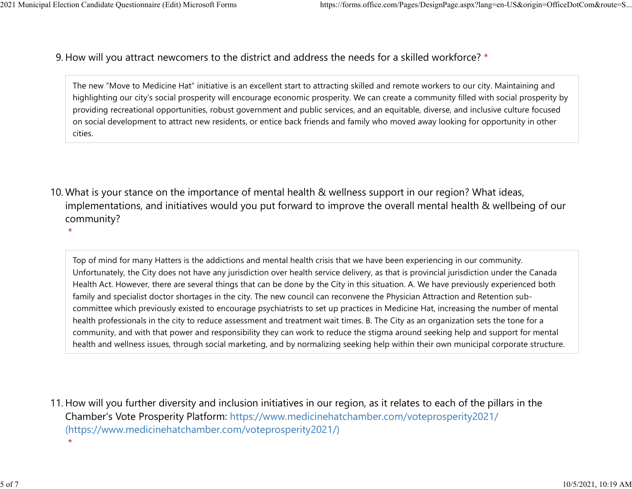$\star$ 

9. How will you attract newcomers to the district and address the needs for a skilled workforce? \* 2021 Municipal Election Candidate Questionnaire (Edit) Microsoft Forms https://forms.office.com/Pages/DesignPage.aspx?lang=en-US&origin=OfficeDotCom&route=S...<br>Q How will you attract newcomers to the district and address t

> The new "Move to Medicine Hat" initiative is an excellent start to attracting skilled and remote workers to our city. Maintaining and highlighting our city's social prosperity will encourage economic prosperity. We can create a community filled with social prosperity by providing recreational opportunities, robust government and public services, and an equitable, diverse, and inclusive culture focused on social development to attract new residents, or entice back friends and family who moved away looking for opportunity in other cities.

10. What is your stance on the importance of mental health & wellness support in our region? What ideas, implementations, and initiatives would you put forward to improve the overall mental health & wellbeing of our community?

Top of mind for many Hatters is the addictions and mental health crisis that we have been experiencing in our community. Unfortunately, the City does not have any jurisdiction over health service delivery, as that is provincial jurisdiction under the Canada Health Act. However, there are several things that can be done by the City in this situation. A. We have previously experienced both family and specialist doctor shortages in the city. The new council can reconvene the Physician Attraction and Retention subcommittee which previously existed to encourage psychiatrists to set up practices in Medicine Hat, increasing the number of mental health professionals in the city to reduce assessment and treatment wait times. B. The City as an organization sets the tone for a community, and with that power and responsibility they can work to reduce the stigma around seeking help and support for mental health and wellness issues, through social marketing, and by normalizing seeking help within their own municipal corporate structure.

11. How will you further diversity and inclusion initiatives in our region, as it relates to each of the pillars in the Chamber's Vote Prosperity Platform: https://www.medicinehatchamber.com/voteprosperity2021/ (https://www.medicinehatchamber.com/voteprosperity2021/)

 $\star$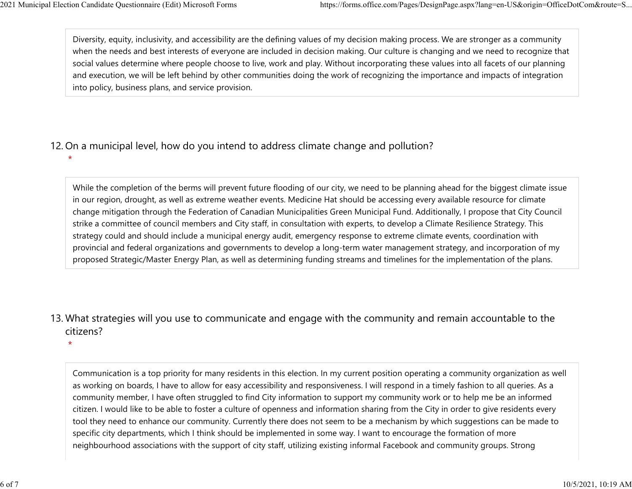Diversity, equity, inclusivity, and accessibility are the defining values of my decision making process. We are stronger as a community when the needs and best interests of everyone are included in decision making. Our culture is changing and we need to recognize that social values determine where people choose to live, work and play. Without incorporating these values into all facets of our planning and execution, we will be left behind by other communities doing the work of recognizing the importance and impacts of integration into policy, business plans, and service provision. 2021 Municipal Election Candidate Questionnaire (Edit) Microsoft Forms https://forms.office.com/Pages/DesignPage.aspx?lang=en-US&origin=OfficeDotCom&route=S...<br>Diversity, equity, inclusivity, and accessibility are the defi

## 12. On a municipal level, how do you intend to address climate change and pollution?

 $\star$ 

While the completion of the berms will prevent future flooding of our city, we need to be planning ahead for the biggest climate issue in our region, drought, as well as extreme weather events. Medicine Hat should be accessing every available resource for climate change mitigation through the Federation of Canadian Municipalities Green Municipal Fund. Additionally, I propose that City Council strike a committee of council members and City staff, in consultation with experts, to develop a Climate Resilience Strategy. This strategy could and should include a municipal energy audit, emergency response to extreme climate events, coordination with provincial and federal organizations and governments to develop a long-term water management strategy, and incorporation of my proposed Strategic/Master Energy Plan, as well as determining funding streams and timelines for the implementation of the plans.

13. What strategies will you use to communicate and engage with the community and remain accountable to the citizens?

 $\star$ 

Communication is a top priority for many residents in this election. In my current position operating a community organization as well as working on boards, I have to allow for easy accessibility and responsiveness. I will respond in a timely fashion to all queries. As a community member, I have often struggled to find City information to support my community work or to help me be an informed citizen. I would like to be able to foster a culture of openness and information sharing from the City in order to give residents every tool they need to enhance our community. Currently there does not seem to be a mechanism by which suggestions can be made to specific city departments, which I think should be implemented in some way. I want to encourage the formation of more neighbourhood associations with the support of city staff, utilizing existing informal Facebook and community groups. Strong